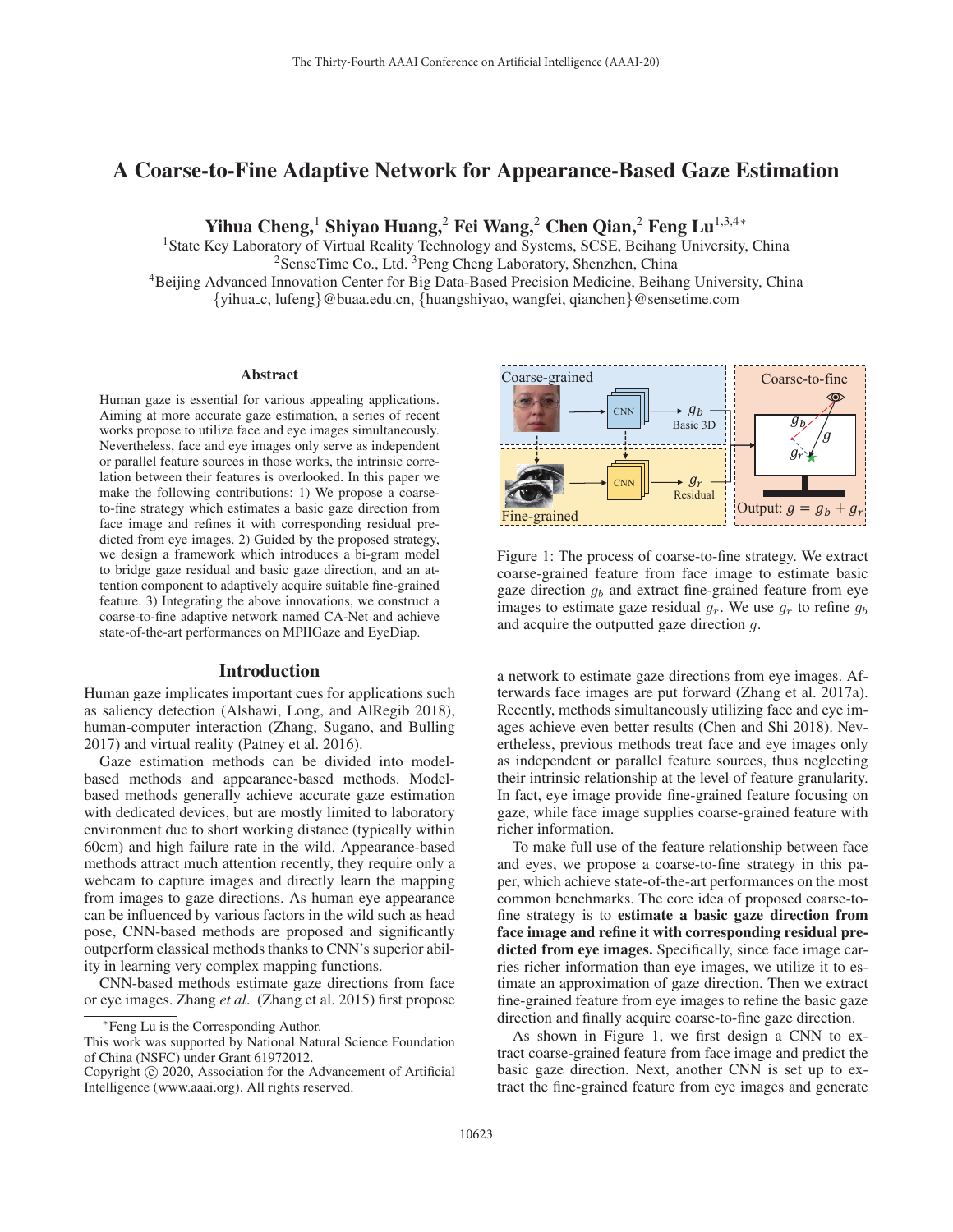# A Coarse-to-Fine Adaptive Network for Appearance-Based Gaze Estimation

Yihua Cheng,<sup>1</sup> Shiyao Huang,<sup>2</sup> Fei Wang,<sup>2</sup> Chen Qian,<sup>2</sup> Feng Lu<sup>1,3,4</sup>\*

<sup>1</sup> State Key Laboratory of Virtual Reality Technology and Systems, SCSE, Beihang University, China <sup>2</sup>SenseTime Co., Ltd. <sup>3</sup>Peng Cheng Laboratory, Shenzhen, China 4Beijing Advanced Innovation Center for Big Data-Based Precision Medicine, Beihang University, China {yihua c, lufeng}@buaa.edu.cn, {huangshiyao, wangfei, qianchen}@sensetime.com

#### Abstract

Human gaze is essential for various appealing applications. Aiming at more accurate gaze estimation, a series of recent works propose to utilize face and eye images simultaneously. Nevertheless, face and eye images only serve as independent or parallel feature sources in those works, the intrinsic correlation between their features is overlooked. In this paper we make the following contributions: 1) We propose a coarseto-fine strategy which estimates a basic gaze direction from face image and refines it with corresponding residual predicted from eye images. 2) Guided by the proposed strategy, we design a framework which introduces a bi-gram model to bridge gaze residual and basic gaze direction, and an attention component to adaptively acquire suitable fine-grained feature. 3) Integrating the above innovations, we construct a coarse-to-fine adaptive network named CA-Net and achieve state-of-the-art performances on MPIIGaze and EyeDiap.

### Introduction

Human gaze implicates important cues for applications such as saliency detection (Alshawi, Long, and AlRegib 2018), human-computer interaction (Zhang, Sugano, and Bulling 2017) and virtual reality (Patney et al. 2016).

Gaze estimation methods can be divided into modelbased methods and appearance-based methods. Modelbased methods generally achieve accurate gaze estimation with dedicated devices, but are mostly limited to laboratory environment due to short working distance (typically within 60cm) and high failure rate in the wild. Appearance-based methods attract much attention recently, they require only a webcam to capture images and directly learn the mapping from images to gaze directions. As human eye appearance can be influenced by various factors in the wild such as head pose, CNN-based methods are proposed and significantly outperform classical methods thanks to CNN's superior ability in learning very complex mapping functions.

CNN-based methods estimate gaze directions from face or eye images. Zhang *et al*. (Zhang et al. 2015) first propose



Figure 1: The process of coarse-to-fine strategy. We extract coarse-grained feature from face image to estimate basic gaze direction  $g_b$  and extract fine-grained feature from eye images to estimate gaze residual  $g_r$ . We use  $g_r$  to refine  $g_b$ and acquire the outputted gaze direction g.

a network to estimate gaze directions from eye images. Afterwards face images are put forward (Zhang et al. 2017a). Recently, methods simultaneously utilizing face and eye images achieve even better results (Chen and Shi 2018). Nevertheless, previous methods treat face and eye images only as independent or parallel feature sources, thus neglecting their intrinsic relationship at the level of feature granularity. In fact, eye image provide fine-grained feature focusing on gaze, while face image supplies coarse-grained feature with richer information.

To make full use of the feature relationship between face and eyes, we propose a coarse-to-fine strategy in this paper, which achieve state-of-the-art performances on the most common benchmarks. The core idea of proposed coarse-tofine strategy is to estimate a basic gaze direction from face image and refine it with corresponding residual predicted from eye images. Specifically, since face image carries richer information than eye images, we utilize it to estimate an approximation of gaze direction. Then we extract fine-grained feature from eye images to refine the basic gaze direction and finally acquire coarse-to-fine gaze direction.

As shown in Figure 1, we first design a CNN to extract coarse-grained feature from face image and predict the basic gaze direction. Next, another CNN is set up to extract the fine-grained feature from eye images and generate

<sup>∗</sup>Feng Lu is the Corresponding Author.

This work was supported by National Natural Science Foundation of China (NSFC) under Grant 61972012.

Copyright  $\odot$  2020, Association for the Advancement of Artificial Intelligence (www.aaai.org). All rights reserved.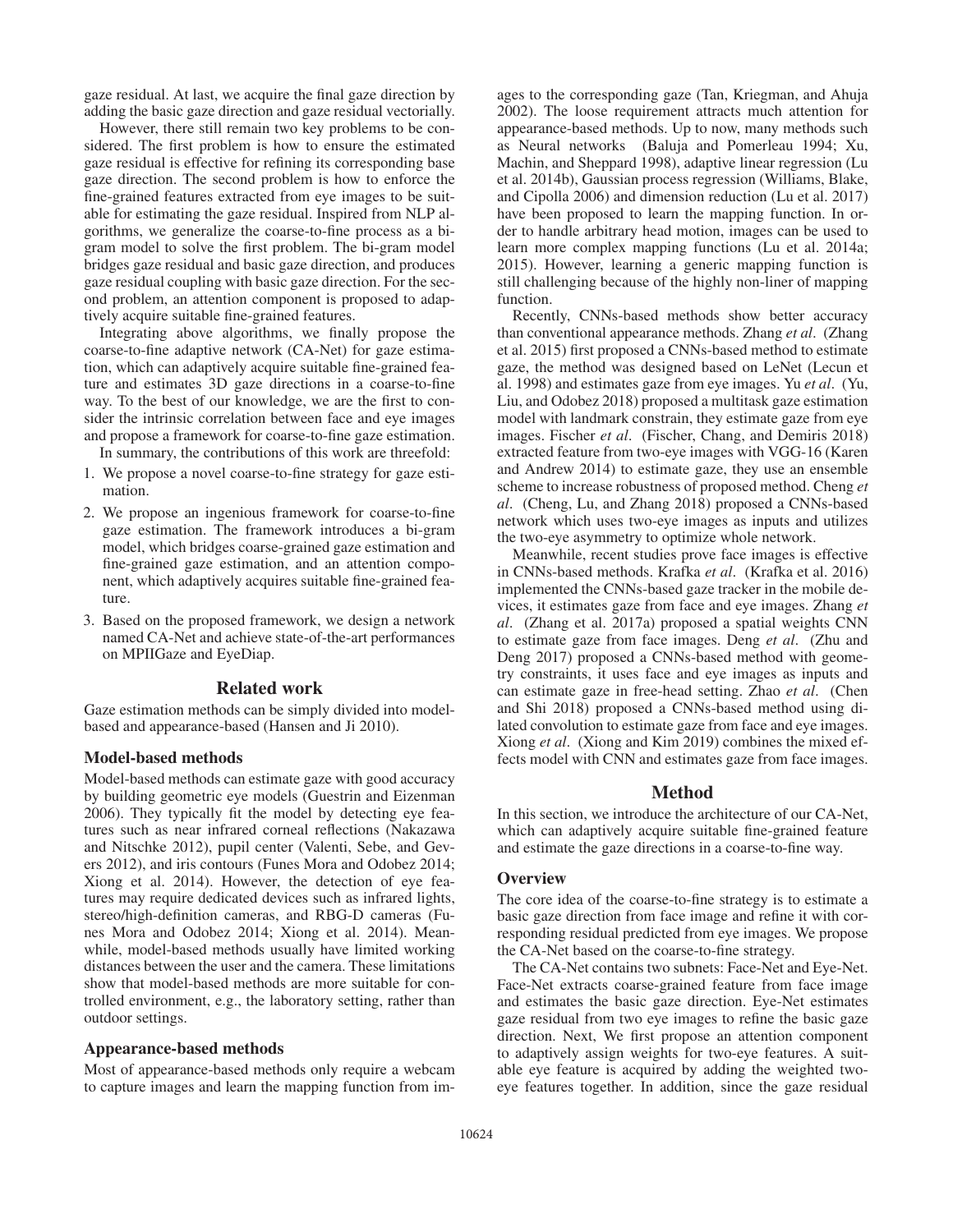gaze residual. At last, we acquire the final gaze direction by adding the basic gaze direction and gaze residual vectorially.

However, there still remain two key problems to be considered. The first problem is how to ensure the estimated gaze residual is effective for refining its corresponding base gaze direction. The second problem is how to enforce the fine-grained features extracted from eye images to be suitable for estimating the gaze residual. Inspired from NLP algorithms, we generalize the coarse-to-fine process as a bigram model to solve the first problem. The bi-gram model bridges gaze residual and basic gaze direction, and produces gaze residual coupling with basic gaze direction. For the second problem, an attention component is proposed to adaptively acquire suitable fine-grained features.

Integrating above algorithms, we finally propose the coarse-to-fine adaptive network (CA-Net) for gaze estimation, which can adaptively acquire suitable fine-grained feature and estimates 3D gaze directions in a coarse-to-fine way. To the best of our knowledge, we are the first to consider the intrinsic correlation between face and eye images and propose a framework for coarse-to-fine gaze estimation.

In summary, the contributions of this work are threefold: 1. We propose a novel coarse-to-fine strategy for gaze esti-

- mation.
- 2. We propose an ingenious framework for coarse-to-fine gaze estimation. The framework introduces a bi-gram model, which bridges coarse-grained gaze estimation and fine-grained gaze estimation, and an attention component, which adaptively acquires suitable fine-grained feature.
- 3. Based on the proposed framework, we design a network named CA-Net and achieve state-of-the-art performances on MPIIGaze and EyeDiap.

### Related work

Gaze estimation methods can be simply divided into modelbased and appearance-based (Hansen and Ji 2010).

#### Model-based methods

Model-based methods can estimate gaze with good accuracy by building geometric eye models (Guestrin and Eizenman 2006). They typically fit the model by detecting eye features such as near infrared corneal reflections (Nakazawa and Nitschke 2012), pupil center (Valenti, Sebe, and Gevers 2012), and iris contours (Funes Mora and Odobez 2014; Xiong et al. 2014). However, the detection of eye features may require dedicated devices such as infrared lights, stereo/high-definition cameras, and RBG-D cameras (Funes Mora and Odobez 2014; Xiong et al. 2014). Meanwhile, model-based methods usually have limited working distances between the user and the camera. These limitations show that model-based methods are more suitable for controlled environment, e.g., the laboratory setting, rather than outdoor settings.

### Appearance-based methods

Most of appearance-based methods only require a webcam to capture images and learn the mapping function from im-

ages to the corresponding gaze (Tan, Kriegman, and Ahuja 2002). The loose requirement attracts much attention for appearance-based methods. Up to now, many methods such as Neural networks (Baluja and Pomerleau 1994; Xu, Machin, and Sheppard 1998), adaptive linear regression (Lu et al. 2014b), Gaussian process regression (Williams, Blake, and Cipolla 2006) and dimension reduction (Lu et al. 2017) have been proposed to learn the mapping function. In order to handle arbitrary head motion, images can be used to learn more complex mapping functions (Lu et al. 2014a; 2015). However, learning a generic mapping function is still challenging because of the highly non-liner of mapping function.

Recently, CNNs-based methods show better accuracy than conventional appearance methods. Zhang *et al*. (Zhang et al. 2015) first proposed a CNNs-based method to estimate gaze, the method was designed based on LeNet (Lecun et al. 1998) and estimates gaze from eye images. Yu *et al*. (Yu, Liu, and Odobez 2018) proposed a multitask gaze estimation model with landmark constrain, they estimate gaze from eye images. Fischer *et al*. (Fischer, Chang, and Demiris 2018) extracted feature from two-eye images with VGG-16 (Karen and Andrew 2014) to estimate gaze, they use an ensemble scheme to increase robustness of proposed method. Cheng *et al*. (Cheng, Lu, and Zhang 2018) proposed a CNNs-based network which uses two-eye images as inputs and utilizes the two-eye asymmetry to optimize whole network.

Meanwhile, recent studies prove face images is effective in CNNs-based methods. Krafka *et al*. (Krafka et al. 2016) implemented the CNNs-based gaze tracker in the mobile devices, it estimates gaze from face and eye images. Zhang *et al*. (Zhang et al. 2017a) proposed a spatial weights CNN to estimate gaze from face images. Deng *et al*. (Zhu and Deng 2017) proposed a CNNs-based method with geometry constraints, it uses face and eye images as inputs and can estimate gaze in free-head setting. Zhao *et al*. (Chen and Shi 2018) proposed a CNNs-based method using dilated convolution to estimate gaze from face and eye images. Xiong *et al*. (Xiong and Kim 2019) combines the mixed effects model with CNN and estimates gaze from face images.

### Method

In this section, we introduce the architecture of our CA-Net, which can adaptively acquire suitable fine-grained feature and estimate the gaze directions in a coarse-to-fine way.

#### **Overview**

The core idea of the coarse-to-fine strategy is to estimate a basic gaze direction from face image and refine it with corresponding residual predicted from eye images. We propose the CA-Net based on the coarse-to-fine strategy.

The CA-Net contains two subnets: Face-Net and Eye-Net. Face-Net extracts coarse-grained feature from face image and estimates the basic gaze direction. Eye-Net estimates gaze residual from two eye images to refine the basic gaze direction. Next, We first propose an attention component to adaptively assign weights for two-eye features. A suitable eye feature is acquired by adding the weighted twoeye features together. In addition, since the gaze residual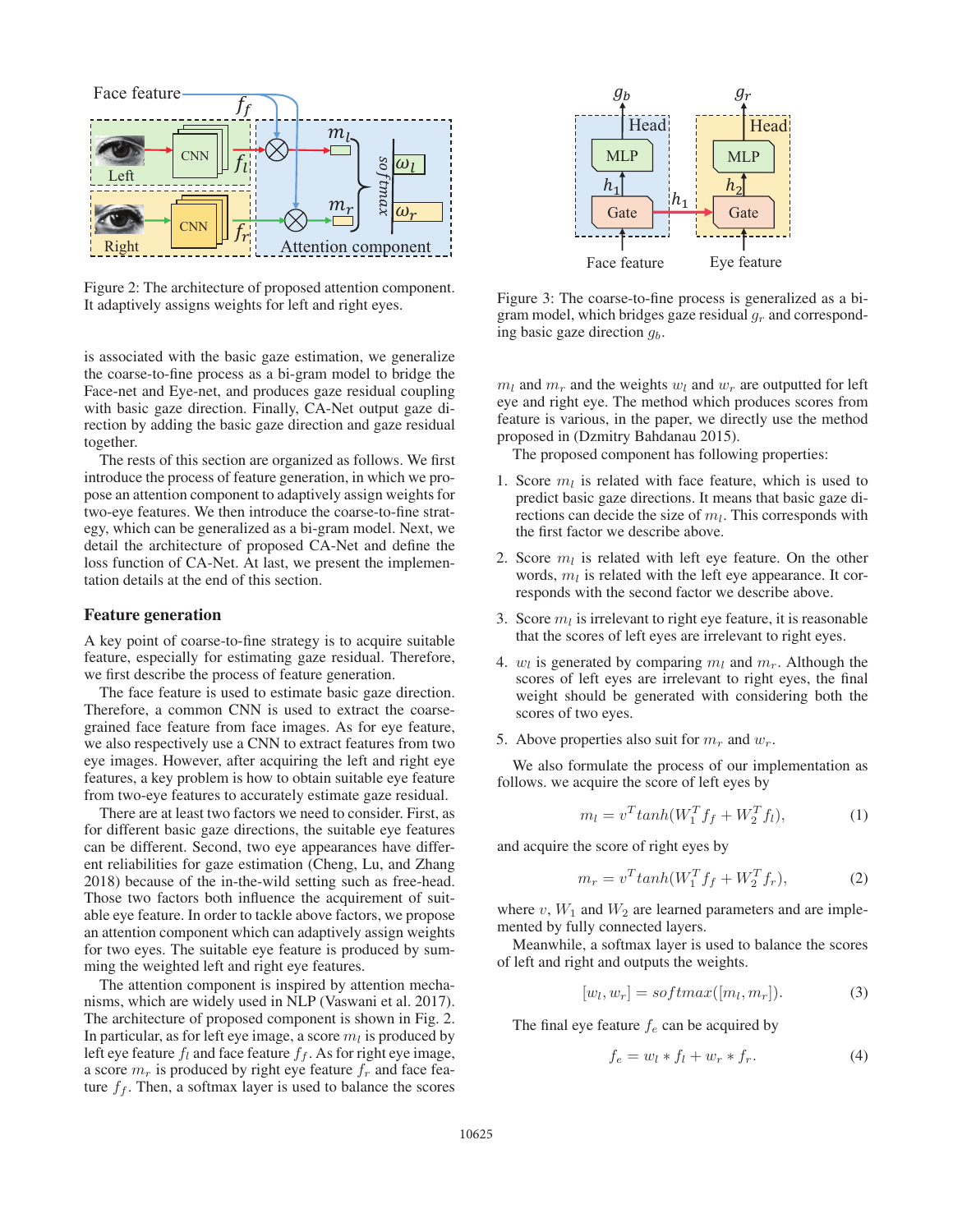

Figure 2: The architecture of proposed attention component. It adaptively assigns weights for left and right eyes.

is associated with the basic gaze estimation, we generalize the coarse-to-fine process as a bi-gram model to bridge the Face-net and Eye-net, and produces gaze residual coupling with basic gaze direction. Finally, CA-Net output gaze direction by adding the basic gaze direction and gaze residual together.

The rests of this section are organized as follows. We first introduce the process of feature generation, in which we propose an attention component to adaptively assign weights for two-eye features. We then introduce the coarse-to-fine strategy, which can be generalized as a bi-gram model. Next, we detail the architecture of proposed CA-Net and define the loss function of CA-Net. At last, we present the implementation details at the end of this section.

### Feature generation

A key point of coarse-to-fine strategy is to acquire suitable feature, especially for estimating gaze residual. Therefore, we first describe the process of feature generation.

The face feature is used to estimate basic gaze direction. Therefore, a common CNN is used to extract the coarsegrained face feature from face images. As for eye feature, we also respectively use a CNN to extract features from two eye images. However, after acquiring the left and right eye features, a key problem is how to obtain suitable eye feature from two-eye features to accurately estimate gaze residual.

There are at least two factors we need to consider. First, as for different basic gaze directions, the suitable eye features can be different. Second, two eye appearances have different reliabilities for gaze estimation (Cheng, Lu, and Zhang 2018) because of the in-the-wild setting such as free-head. Those two factors both influence the acquirement of suitable eye feature. In order to tackle above factors, we propose an attention component which can adaptively assign weights for two eyes. The suitable eye feature is produced by summing the weighted left and right eye features.

The attention component is inspired by attention mechanisms, which are widely used in NLP (Vaswani et al. 2017). The architecture of proposed component is shown in Fig. 2. In particular, as for left eye image, a score  $m_l$  is produced by left eye feature  $f_l$  and face feature  $f_f$ . As for right eye image, a score  $m_r$  is produced by right eye feature  $f_r$  and face feature  $f_f$ . Then, a softmax layer is used to balance the scores



Figure 3: The coarse-to-fine process is generalized as a bigram model, which bridges gaze residual  $q_r$  and corresponding basic gaze direction  $g<sub>b</sub>$ .

 $m_l$  and  $m_r$  and the weights  $w_l$  and  $w_r$  are outputted for left eye and right eye. The method which produces scores from feature is various, in the paper, we directly use the method proposed in (Dzmitry Bahdanau 2015).

The proposed component has following properties:

- 1. Score  $m_l$  is related with face feature, which is used to predict basic gaze directions. It means that basic gaze directions can decide the size of  $m_l$ . This corresponds with the first factor we describe above.
- 2. Score  $m_l$  is related with left eye feature. On the other words,  $m_l$  is related with the left eye appearance. It corresponds with the second factor we describe above.
- 3. Score  $m_l$  is irrelevant to right eye feature, it is reasonable that the scores of left eyes are irrelevant to right eyes.
- 4.  $w_l$  is generated by comparing  $m_l$  and  $m_r$ . Although the scores of left eyes are irrelevant to right eyes, the final weight should be generated with considering both the scores of two eyes.
- 5. Above properties also suit for  $m_r$  and  $w_r$ .

We also formulate the process of our implementation as follows. we acquire the score of left eyes by

$$
m_l = v^T \tanh(W_1^T f_f + W_2^T f_l), \tag{1}
$$

and acquire the score of right eyes by

$$
m_r = v^T \tanh(W_1^T f_f + W_2^T f_r), \tag{2}
$$

where  $v$ ,  $W_1$  and  $W_2$  are learned parameters and are implemented by fully connected layers.

Meanwhile, a softmax layer is used to balance the scores of left and right and outputs the weights.

$$
[w_l, w_r] = softmax([m_l, m_r]). \tag{3}
$$

The final eye feature  $f_e$  can be acquired by

$$
f_e = w_l * f_l + w_r * f_r.
$$
\n<sup>(4)</sup>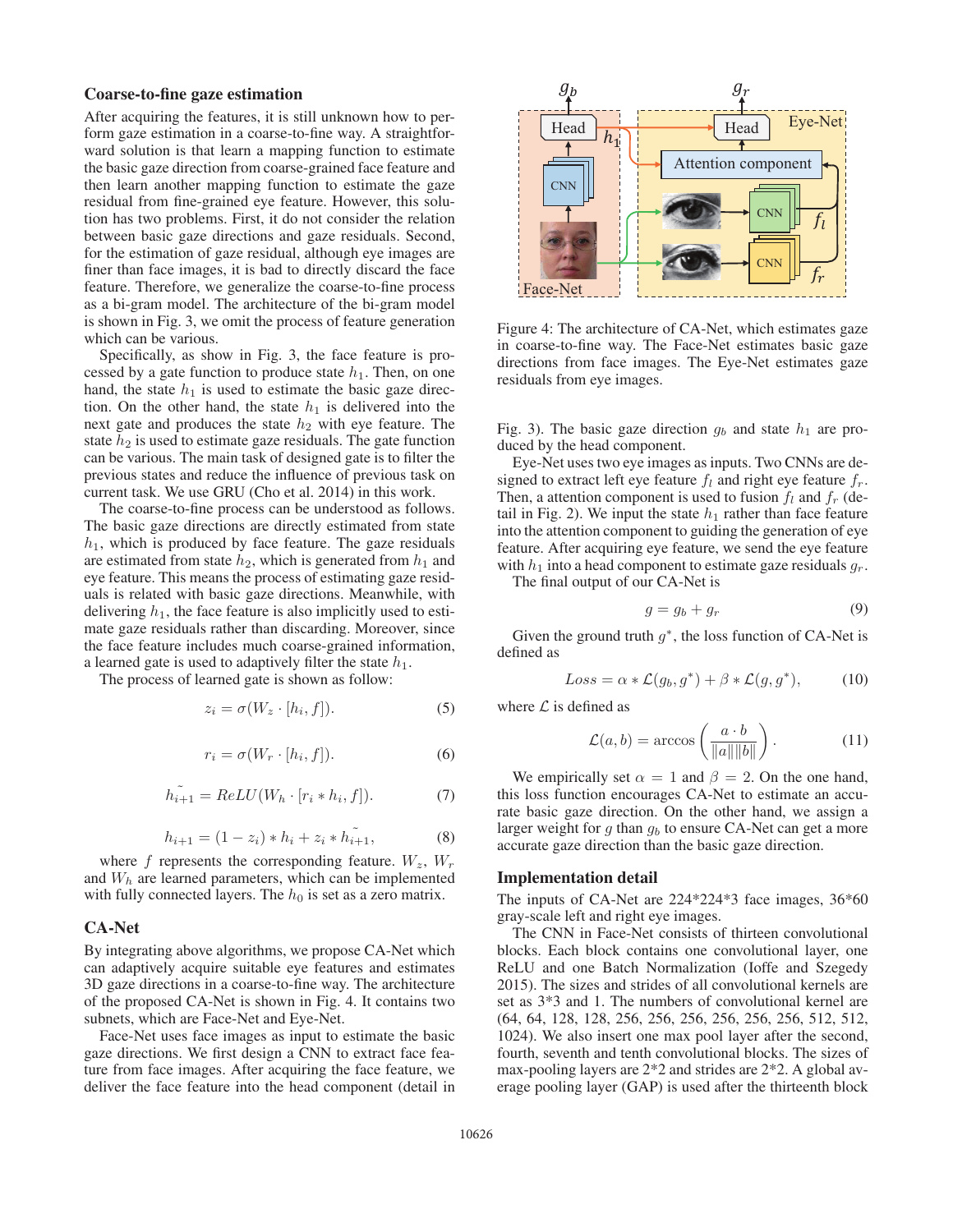#### Coarse-to-fine gaze estimation

After acquiring the features, it is still unknown how to perform gaze estimation in a coarse-to-fine way. A straightforward solution is that learn a mapping function to estimate the basic gaze direction from coarse-grained face feature and then learn another mapping function to estimate the gaze residual from fine-grained eye feature. However, this solution has two problems. First, it do not consider the relation between basic gaze directions and gaze residuals. Second, for the estimation of gaze residual, although eye images are finer than face images, it is bad to directly discard the face feature. Therefore, we generalize the coarse-to-fine process as a bi-gram model. The architecture of the bi-gram model is shown in Fig. 3, we omit the process of feature generation which can be various.

Specifically, as show in Fig. 3, the face feature is processed by a gate function to produce state  $h_1$ . Then, on one hand, the state  $h_1$  is used to estimate the basic gaze direction. On the other hand, the state  $h_1$  is delivered into the next gate and produces the state  $h_2$  with eye feature. The state  $h_2$  is used to estimate gaze residuals. The gate function can be various. The main task of designed gate is to filter the previous states and reduce the influence of previous task on current task. We use GRU (Cho et al. 2014) in this work.

The coarse-to-fine process can be understood as follows. The basic gaze directions are directly estimated from state  $h_1$ , which is produced by face feature. The gaze residuals are estimated from state  $h_2$ , which is generated from  $h_1$  and eye feature. This means the process of estimating gaze residuals is related with basic gaze directions. Meanwhile, with delivering  $h_1$ , the face feature is also implicitly used to estimate gaze residuals rather than discarding. Moreover, since the face feature includes much coarse-grained information, a learned gate is used to adaptively filter the state  $h_1$ .

The process of learned gate is shown as follow:

$$
z_i = \sigma(W_z \cdot [h_i, f]). \tag{5}
$$

$$
r_i = \sigma(W_r \cdot [h_i, f]). \tag{6}
$$

$$
\widetilde{h_{i+1}} = ReLU(W_h \cdot [r_i * h_i, f]). \tag{7}
$$

$$
h_{i+1} = (1 - z_i) * h_i + z_i * h_{i+1}^{\tilde{i}},
$$
\n(8)

where f represents the corresponding feature.  $W_z$ ,  $W_r$ <br>d  $W_k$  are learned parameters which can be implemented and  $W<sub>h</sub>$  are learned parameters, which can be implemented with fully connected layers. The  $h_0$  is set as a zero matrix.

### CA-Net

By integrating above algorithms, we propose CA-Net which can adaptively acquire suitable eye features and estimates 3D gaze directions in a coarse-to-fine way. The architecture of the proposed CA-Net is shown in Fig. 4. It contains two subnets, which are Face-Net and Eye-Net.

Face-Net uses face images as input to estimate the basic gaze directions. We first design a CNN to extract face feature from face images. After acquiring the face feature, we deliver the face feature into the head component (detail in



Figure 4: The architecture of CA-Net, which estimates gaze in coarse-to-fine way. The Face-Net estimates basic gaze directions from face images. The Eye-Net estimates gaze residuals from eye images.

Fig. 3). The basic gaze direction  $g_b$  and state  $h_1$  are produced by the head component.

Eye-Net uses two eye images as inputs. Two CNNs are designed to extract left eye feature  $f_l$  and right eye feature  $f_r$ . Then, a attention component is used to fusion  $f_l$  and  $f_r$  (detail in Fig. 2). We input the state  $h_1$  rather than face feature into the attention component to guiding the generation of eye feature. After acquiring eye feature, we send the eye feature with  $h_1$  into a head component to estimate gaze residuals  $g_r$ .

The final output of our CA-Net is

$$
g = g_b + g_r \tag{9}
$$

Given the ground truth  $q^*$ , the loss function of CA-Net is defined as

$$
Loss = \alpha * \mathcal{L}(g_b, g^*) + \beta * \mathcal{L}(g, g^*), \tag{10}
$$

where  $\mathcal L$  is defined as

$$
\mathcal{L}(a,b) = \arccos\left(\frac{a \cdot b}{\|a\| \|b\|}\right). \tag{11}
$$

We empirically set  $\alpha = 1$  and  $\beta = 2$ . On the one hand, this loss function encourages CA-Net to estimate an accurate basic gaze direction. On the other hand, we assign a larger weight for  $q$  than  $q_b$  to ensure CA-Net can get a more accurate gaze direction than the basic gaze direction.

#### Implementation detail

The inputs of CA-Net are 224\*224\*3 face images, 36\*60 gray-scale left and right eye images.

The CNN in Face-Net consists of thirteen convolutional blocks. Each block contains one convolutional layer, one ReLU and one Batch Normalization (Ioffe and Szegedy 2015). The sizes and strides of all convolutional kernels are set as 3\*3 and 1. The numbers of convolutional kernel are (64, 64, 128, 128, 256, 256, 256, 256, 256, 256, 512, 512, 1024). We also insert one max pool layer after the second, fourth, seventh and tenth convolutional blocks. The sizes of max-pooling layers are 2\*2 and strides are 2\*2. A global average pooling layer (GAP) is used after the thirteenth block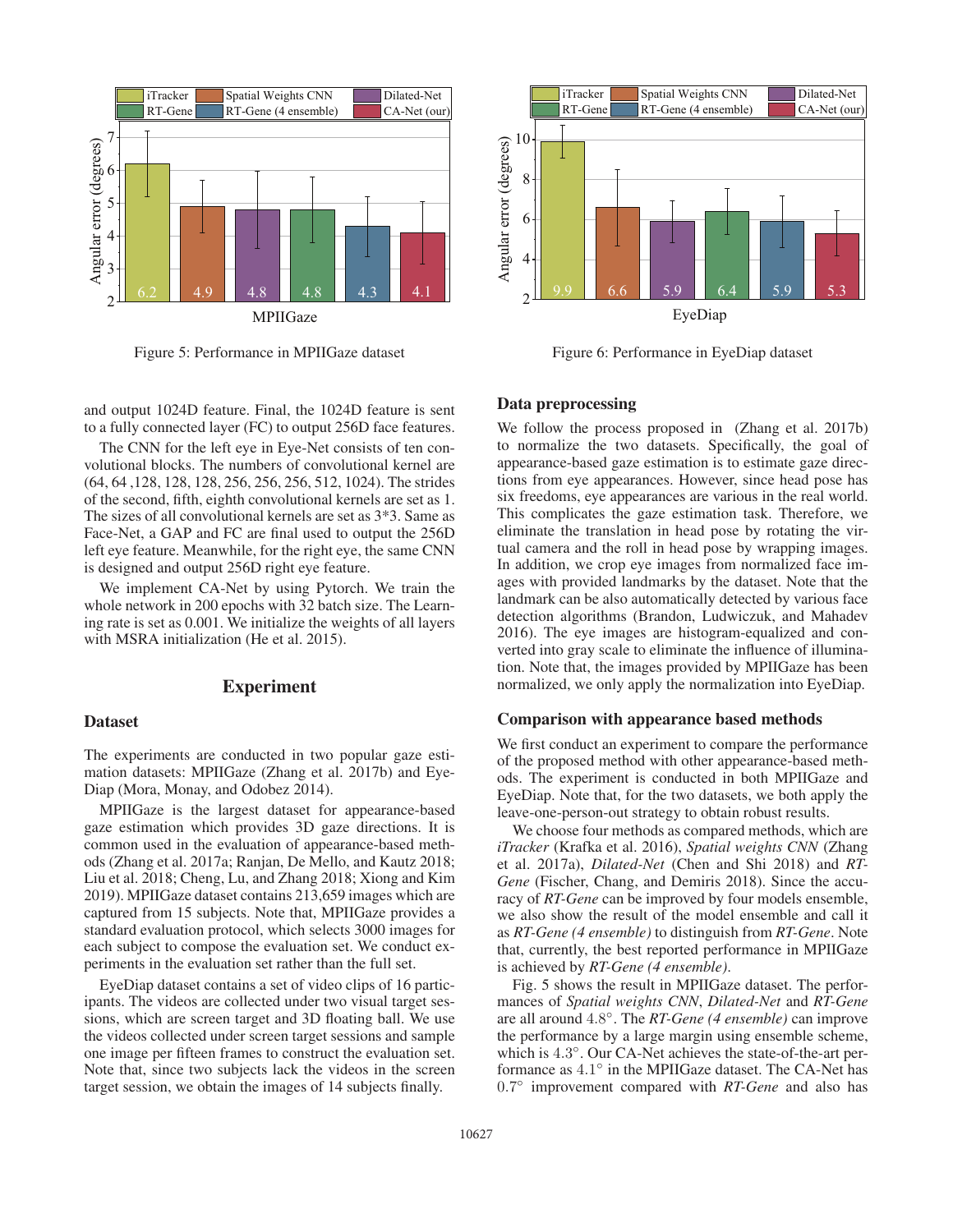

Figure 5: Performance in MPIIGaze dataset



Figure 6: Performance in EyeDiap dataset

and output 1024D feature. Final, the 1024D feature is sent to a fully connected layer (FC) to output 256D face features.

The CNN for the left eye in Eye-Net consists of ten convolutional blocks. The numbers of convolutional kernel are (64, 64 ,128, 128, 128, 256, 256, 256, 512, 1024). The strides of the second, fifth, eighth convolutional kernels are set as 1. The sizes of all convolutional kernels are set as 3\*3. Same as Face-Net, a GAP and FC are final used to output the 256D left eye feature. Meanwhile, for the right eye, the same CNN is designed and output 256D right eye feature.

We implement CA-Net by using Pytorch. We train the whole network in 200 epochs with 32 batch size. The Learning rate is set as 0.001. We initialize the weights of all layers with MSRA initialization (He et al. 2015).

### Experiment

#### **Dataset**

The experiments are conducted in two popular gaze estimation datasets: MPIIGaze (Zhang et al. 2017b) and Eye-Diap (Mora, Monay, and Odobez 2014).

MPIIGaze is the largest dataset for appearance-based gaze estimation which provides 3D gaze directions. It is common used in the evaluation of appearance-based methods (Zhang et al. 2017a; Ranjan, De Mello, and Kautz 2018; Liu et al. 2018; Cheng, Lu, and Zhang 2018; Xiong and Kim 2019). MPIIGaze dataset contains 213,659 images which are captured from 15 subjects. Note that, MPIIGaze provides a standard evaluation protocol, which selects 3000 images for each subject to compose the evaluation set. We conduct experiments in the evaluation set rather than the full set.

EyeDiap dataset contains a set of video clips of 16 participants. The videos are collected under two visual target sessions, which are screen target and 3D floating ball. We use the videos collected under screen target sessions and sample one image per fifteen frames to construct the evaluation set. Note that, since two subjects lack the videos in the screen target session, we obtain the images of 14 subjects finally.

### Data preprocessing

We follow the process proposed in (Zhang et al. 2017b) to normalize the two datasets. Specifically, the goal of appearance-based gaze estimation is to estimate gaze directions from eye appearances. However, since head pose has six freedoms, eye appearances are various in the real world. This complicates the gaze estimation task. Therefore, we eliminate the translation in head pose by rotating the virtual camera and the roll in head pose by wrapping images. In addition, we crop eye images from normalized face images with provided landmarks by the dataset. Note that the landmark can be also automatically detected by various face detection algorithms (Brandon, Ludwiczuk, and Mahadev 2016). The eye images are histogram-equalized and converted into gray scale to eliminate the influence of illumination. Note that, the images provided by MPIIGaze has been normalized, we only apply the normalization into EyeDiap.

### Comparison with appearance based methods

We first conduct an experiment to compare the performance of the proposed method with other appearance-based methods. The experiment is conducted in both MPIIGaze and EyeDiap. Note that, for the two datasets, we both apply the leave-one-person-out strategy to obtain robust results.

We choose four methods as compared methods, which are *iTracker* (Krafka et al. 2016), *Spatial weights CNN* (Zhang et al. 2017a), *Dilated-Net* (Chen and Shi 2018) and *RT-Gene* (Fischer, Chang, and Demiris 2018). Since the accuracy of *RT-Gene* can be improved by four models ensemble, we also show the result of the model ensemble and call it as *RT-Gene (4 ensemble)* to distinguish from *RT-Gene*. Note that, currently, the best reported performance in MPIIGaze is achieved by *RT-Gene (4 ensemble)*.

Fig. 5 shows the result in MPIIGaze dataset. The performances of *Spatial weights CNN*, *Dilated-Net* and *RT-Gene* are all around <sup>4</sup>.8◦. The *RT-Gene (4 ensemble)* can improve the performance by a large margin using ensemble scheme, which is <sup>4</sup>.3◦. Our CA-Net achieves the state-of-the-art performance as <sup>4</sup>.1◦ in the MPIIGaze dataset. The CA-Net has <sup>0</sup>.7◦ improvement compared with *RT-Gene* and also has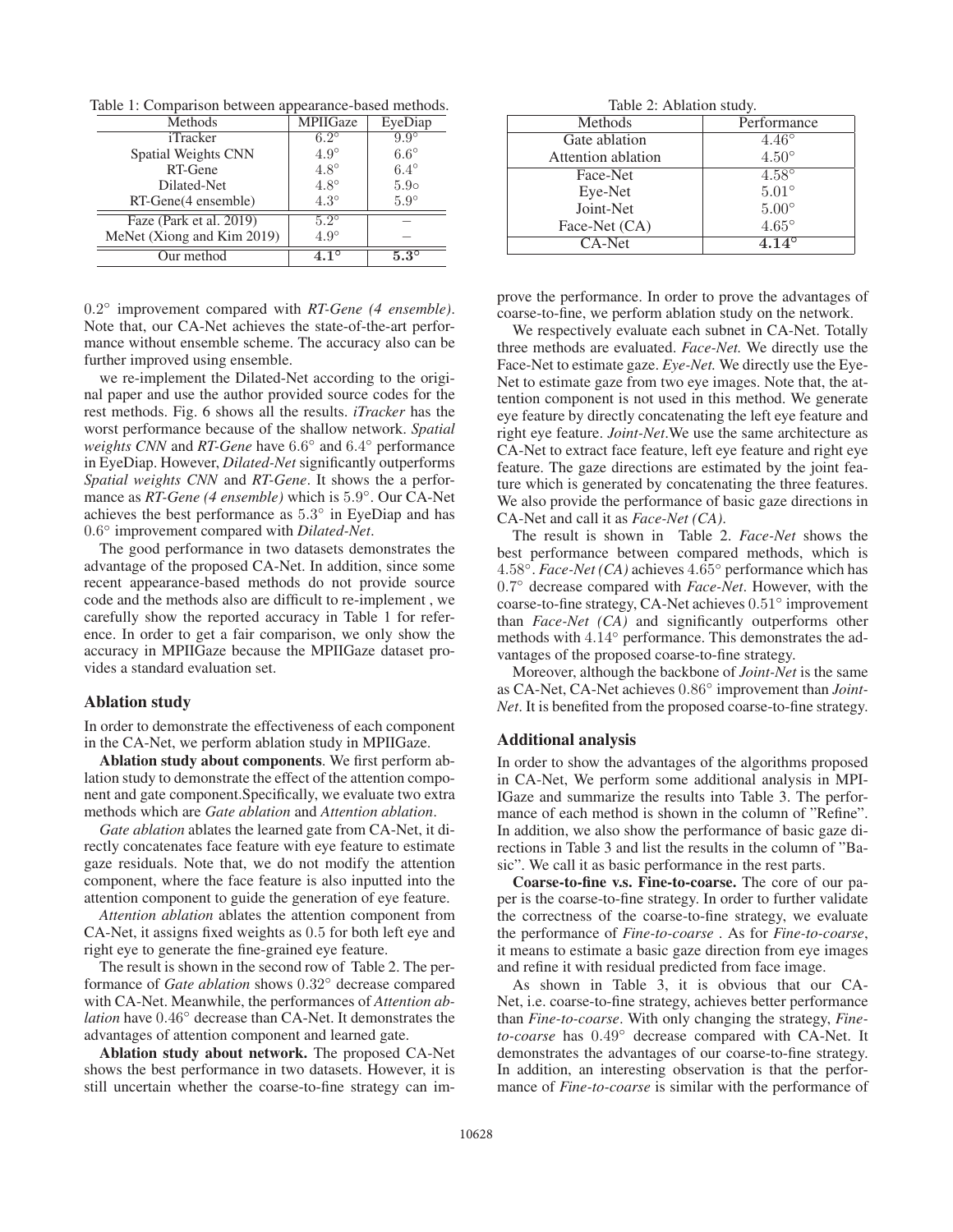Table 1: Comparison between appearance-based methods.

| Methods                    | <b>MPIIGaze</b> | EyeDiap     |
|----------------------------|-----------------|-------------|
| iTracker                   | $6.2^\circ$     | $9.9^\circ$ |
| Spatial Weights CNN        | $4.9^\circ$     | $6.6^\circ$ |
| RT-Gene                    | $4.8^\circ$     | $6.4^\circ$ |
| Dilated-Net                | $4.8^\circ$     | $5.9\circ$  |
| RT-Gene(4 ensemble)        | $4.3^\circ$     | $5.9^\circ$ |
| Faze (Park et al. 2019)    | $5.2^\circ$     |             |
| MeNet (Xiong and Kim 2019) | $4.9^\circ$     |             |
| Our method                 | $4.1^\circ$     | $5.3^\circ$ |

<sup>0</sup>.2◦ improvement compared with *RT-Gene (4 ensemble)*. Note that, our CA-Net achieves the state-of-the-art performance without ensemble scheme. The accuracy also can be further improved using ensemble.

we re-implement the Dilated-Net according to the original paper and use the author provided source codes for the rest methods. Fig. 6 shows all the results. *iTracker* has the worst performance because of the shallow network. *Spatial weights CNN* and *RT-Gene* have <sup>6</sup>.6◦ and <sup>6</sup>.4◦ performance in EyeDiap. However, *Dilated-Net* significantly outperforms *Spatial weights CNN* and *RT-Gene*. It shows the a performance as *RT-Gene (4 ensemble)* which is <sup>5</sup>.9◦. Our CA-Net achieves the best performance as <sup>5</sup>.3◦ in EyeDiap and has <sup>0</sup>.6◦ improvement compared with *Dilated-Net*.

The good performance in two datasets demonstrates the advantage of the proposed CA-Net. In addition, since some recent appearance-based methods do not provide source code and the methods also are difficult to re-implement , we carefully show the reported accuracy in Table 1 for reference. In order to get a fair comparison, we only show the accuracy in MPIIGaze because the MPIIGaze dataset provides a standard evaluation set.

#### Ablation study

In order to demonstrate the effectiveness of each component in the CA-Net, we perform ablation study in MPIIGaze.

Ablation study about components. We first perform ablation study to demonstrate the effect of the attention component and gate component.Specifically, we evaluate two extra methods which are *Gate ablation* and *Attention ablation*.

*Gate ablation* ablates the learned gate from CA-Net, it directly concatenates face feature with eye feature to estimate gaze residuals. Note that, we do not modify the attention component, where the face feature is also inputted into the attention component to guide the generation of eye feature.

*Attention ablation* ablates the attention component from CA-Net, it assigns fixed weights as <sup>0</sup>.<sup>5</sup> for both left eye and right eye to generate the fine-grained eye feature.

The result is shown in the second row of Table 2. The performance of *Gate ablation* shows <sup>0</sup>.32◦ decrease compared with CA-Net. Meanwhile, the performances of *Attention ablation* have <sup>0</sup>.46◦ decrease than CA-Net. It demonstrates the advantages of attention component and learned gate.

Ablation study about network. The proposed CA-Net shows the best performance in two datasets. However, it is still uncertain whether the coarse-to-fine strategy can im-

Table 2: Ablation study.

| Methods            | Performance    |
|--------------------|----------------|
| Gate ablation      | $4.46^{\circ}$ |
| Attention ablation | $4.50^{\circ}$ |
| Face-Net           | $4.58^\circ$   |
| Eye-Net            | $5.01^{\circ}$ |
| Joint-Net          | $5.00^\circ$   |
| Face-Net (CA)      | $4.65^{\circ}$ |
| CA-Net             | $4.14^{\circ}$ |

prove the performance. In order to prove the advantages of coarse-to-fine, we perform ablation study on the network.

We respectively evaluate each subnet in CA-Net. Totally three methods are evaluated. *Face-Net.* We directly use the Face-Net to estimate gaze. *Eye-Net.* We directly use the Eye-Net to estimate gaze from two eye images. Note that, the attention component is not used in this method. We generate eye feature by directly concatenating the left eye feature and right eye feature. *Joint-Net*.We use the same architecture as CA-Net to extract face feature, left eye feature and right eye feature. The gaze directions are estimated by the joint feature which is generated by concatenating the three features. We also provide the performance of basic gaze directions in CA-Net and call it as *Face-Net (CA)*.

The result is shown in Table 2. *Face-Net* shows the best performance between compared methods, which is <sup>4</sup>.58◦. *Face-Net (CA)* achieves <sup>4</sup>.65◦ performance which has <sup>0</sup>.7◦ decrease compared with *Face-Net*. However, with the coarse-to-fine strategy, CA-Net achieves <sup>0</sup>.51◦ improvement than *Face-Net (CA)* and significantly outperforms other methods with <sup>4</sup>.14◦ performance. This demonstrates the advantages of the proposed coarse-to-fine strategy.

Moreover, although the backbone of *Joint-Net* is the same as CA-Net, CA-Net achieves <sup>0</sup>.86◦ improvement than *Joint-Net*. It is benefited from the proposed coarse-to-fine strategy.

### Additional analysis

In order to show the advantages of the algorithms proposed in CA-Net, We perform some additional analysis in MPI-IGaze and summarize the results into Table 3. The performance of each method is shown in the column of "Refine". In addition, we also show the performance of basic gaze directions in Table 3 and list the results in the column of "Basic". We call it as basic performance in the rest parts.

Coarse-to-fine v.s. Fine-to-coarse. The core of our paper is the coarse-to-fine strategy. In order to further validate the correctness of the coarse-to-fine strategy, we evaluate the performance of *Fine-to-coarse* . As for *Fine-to-coarse*, it means to estimate a basic gaze direction from eye images and refine it with residual predicted from face image.

As shown in Table 3, it is obvious that our CA-Net, i.e. coarse-to-fine strategy, achieves better performance than *Fine-to-coarse*. With only changing the strategy, *Fineto-coarse* has <sup>0</sup>.49◦ decrease compared with CA-Net. It demonstrates the advantages of our coarse-to-fine strategy. In addition, an interesting observation is that the performance of *Fine-to-coarse* is similar with the performance of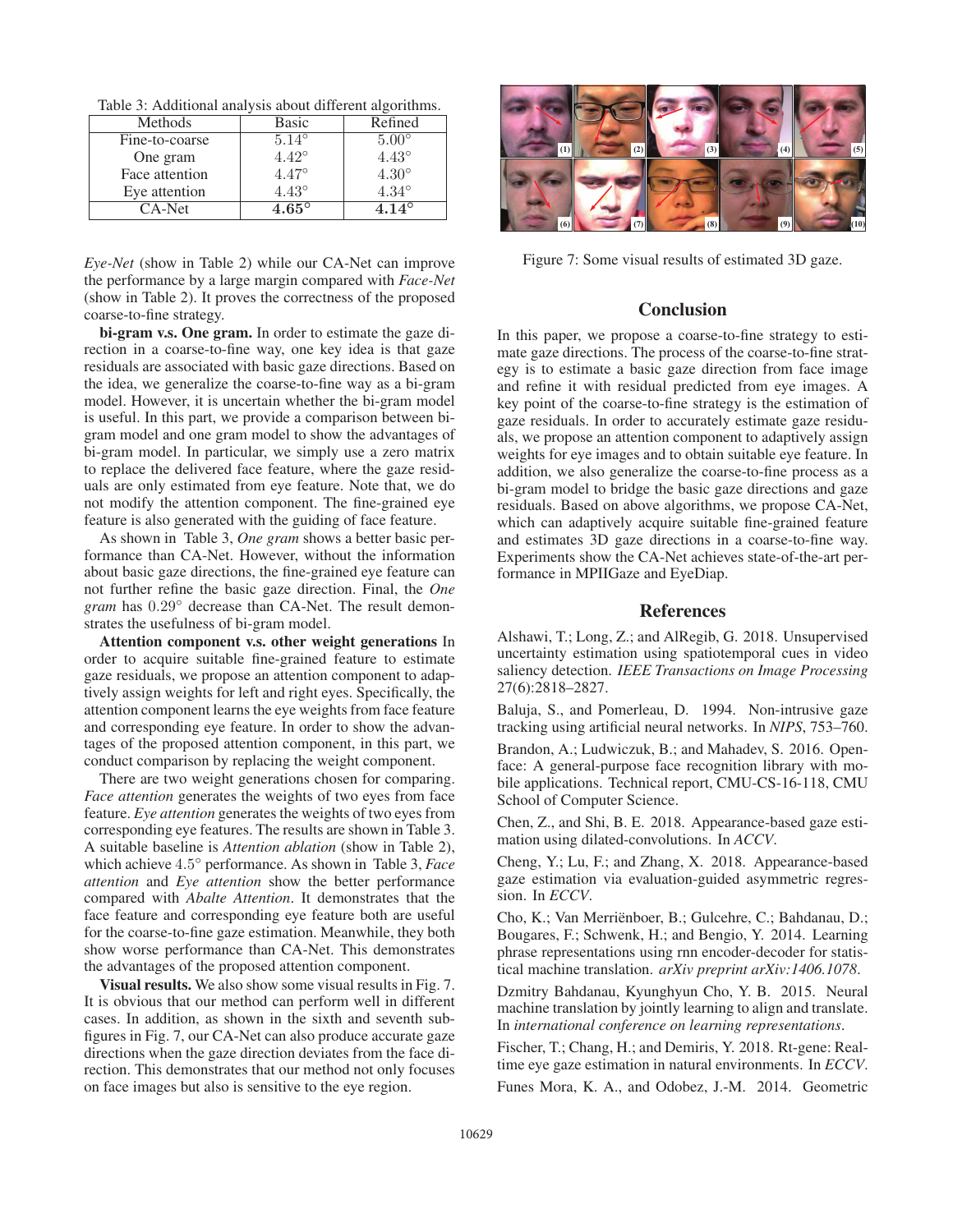Table 3: Additional analysis about different algorithms.

| Methods        | Basic          | Refined        |
|----------------|----------------|----------------|
| Fine-to-coarse | $5.14^{\circ}$ | $5.00^\circ$   |
| One gram       | $4.42^{\circ}$ | $4.43^\circ$   |
| Face attention | $4.47^{\circ}$ | $4.30^\circ$   |
| Eye attention  | $4.43^{\circ}$ | $4.34^{\circ}$ |
| CA-Net         | $4.65^\circ$   | $4.14^{\circ}$ |

*Eye-Net* (show in Table 2) while our CA-Net can improve the performance by a large margin compared with *Face-Net* (show in Table 2). It proves the correctness of the proposed coarse-to-fine strategy.

bi-gram v.s. One gram. In order to estimate the gaze direction in a coarse-to-fine way, one key idea is that gaze residuals are associated with basic gaze directions. Based on the idea, we generalize the coarse-to-fine way as a bi-gram model. However, it is uncertain whether the bi-gram model is useful. In this part, we provide a comparison between bigram model and one gram model to show the advantages of bi-gram model. In particular, we simply use a zero matrix to replace the delivered face feature, where the gaze residuals are only estimated from eye feature. Note that, we do not modify the attention component. The fine-grained eye feature is also generated with the guiding of face feature.

As shown in Table 3, *One gram* shows a better basic performance than CA-Net. However, without the information about basic gaze directions, the fine-grained eye feature can not further refine the basic gaze direction. Final, the *One gram* has <sup>0</sup>.29◦ decrease than CA-Net. The result demonstrates the usefulness of bi-gram model.

Attention component v.s. other weight generations In order to acquire suitable fine-grained feature to estimate gaze residuals, we propose an attention component to adaptively assign weights for left and right eyes. Specifically, the attention component learns the eye weights from face feature and corresponding eye feature. In order to show the advantages of the proposed attention component, in this part, we conduct comparison by replacing the weight component.

There are two weight generations chosen for comparing. *Face attention* generates the weights of two eyes from face feature. *Eye attention* generates the weights of two eyes from corresponding eye features. The results are shown in Table 3. A suitable baseline is *Attention ablation* (show in Table 2), which achieve <sup>4</sup>.5◦ performance. As shown in Table 3, *Face attention* and *Eye attention* show the better performance compared with *Abalte Attention*. It demonstrates that the face feature and corresponding eye feature both are useful for the coarse-to-fine gaze estimation. Meanwhile, they both show worse performance than CA-Net. This demonstrates the advantages of the proposed attention component.

Visual results. We also show some visual results in Fig. 7. It is obvious that our method can perform well in different cases. In addition, as shown in the sixth and seventh subfigures in Fig. 7, our CA-Net can also produce accurate gaze directions when the gaze direction deviates from the face direction. This demonstrates that our method not only focuses on face images but also is sensitive to the eye region.



Figure 7: Some visual results of estimated 3D gaze.

## Conclusion

In this paper, we propose a coarse-to-fine strategy to estimate gaze directions. The process of the coarse-to-fine strategy is to estimate a basic gaze direction from face image and refine it with residual predicted from eye images. A key point of the coarse-to-fine strategy is the estimation of gaze residuals. In order to accurately estimate gaze residuals, we propose an attention component to adaptively assign weights for eye images and to obtain suitable eye feature. In addition, we also generalize the coarse-to-fine process as a bi-gram model to bridge the basic gaze directions and gaze residuals. Based on above algorithms, we propose CA-Net, which can adaptively acquire suitable fine-grained feature and estimates 3D gaze directions in a coarse-to-fine way. Experiments show the CA-Net achieves state-of-the-art performance in MPIIGaze and EyeDiap.

### References

Alshawi, T.; Long, Z.; and AlRegib, G. 2018. Unsupervised uncertainty estimation using spatiotemporal cues in video saliency detection. *IEEE Transactions on Image Processing* 27(6):2818–2827.

Baluja, S., and Pomerleau, D. 1994. Non-intrusive gaze tracking using artificial neural networks. In *NIPS*, 753–760.

Brandon, A.; Ludwiczuk, B.; and Mahadev, S. 2016. Openface: A general-purpose face recognition library with mobile applications. Technical report, CMU-CS-16-118, CMU School of Computer Science.

Chen, Z., and Shi, B. E. 2018. Appearance-based gaze estimation using dilated-convolutions. In *ACCV*.

Cheng, Y.; Lu, F.; and Zhang, X. 2018. Appearance-based gaze estimation via evaluation-guided asymmetric regression. In *ECCV*.

Cho, K.; Van Merrienboer, B.; Gulcehre, C.; Bahdanau, D.; ¨ Bougares, F.; Schwenk, H.; and Bengio, Y. 2014. Learning phrase representations using rnn encoder-decoder for statistical machine translation. *arXiv preprint arXiv:1406.1078*.

Dzmitry Bahdanau, Kyunghyun Cho, Y. B. 2015. Neural machine translation by jointly learning to align and translate. In *international conference on learning representations*.

Fischer, T.; Chang, H.; and Demiris, Y. 2018. Rt-gene: Realtime eye gaze estimation in natural environments. In *ECCV*.

Funes Mora, K. A., and Odobez, J.-M. 2014. Geometric